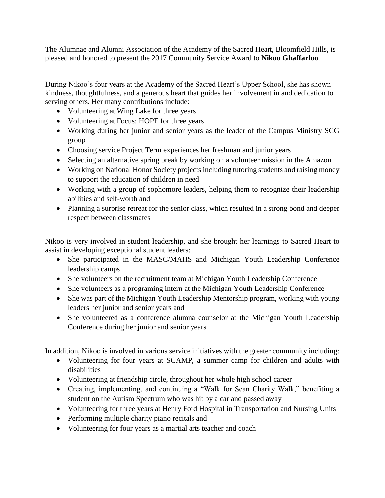The Alumnae and Alumni Association of the Academy of the Sacred Heart, Bloomfield Hills, is pleased and honored to present the 2017 Community Service Award to **Nikoo Ghaffarloo**.

During Nikoo's four years at the Academy of the Sacred Heart's Upper School, she has shown kindness, thoughtfulness, and a generous heart that guides her involvement in and dedication to serving others. Her many contributions include:

- Volunteering at Wing Lake for three years
- Volunteering at Focus: HOPE for three years
- Working during her junior and senior years as the leader of the Campus Ministry SCG group
- Choosing service Project Term experiences her freshman and junior years
- Selecting an alternative spring break by working on a volunteer mission in the Amazon
- Working on National Honor Society projects including tutoring students and raising money to support the education of children in need
- Working with a group of sophomore leaders, helping them to recognize their leadership abilities and self-worth and
- Planning a surprise retreat for the senior class, which resulted in a strong bond and deeper respect between classmates

Nikoo is very involved in student leadership, and she brought her learnings to Sacred Heart to assist in developing exceptional student leaders:

- She participated in the MASC/MAHS and Michigan Youth Leadership Conference leadership camps
- She volunteers on the recruitment team at Michigan Youth Leadership Conference
- She volunteers as a programing intern at the Michigan Youth Leadership Conference
- She was part of the Michigan Youth Leadership Mentorship program, working with young leaders her junior and senior years and
- She volunteered as a conference alumna counselor at the Michigan Youth Leadership Conference during her junior and senior years

In addition, Nikoo is involved in various service initiatives with the greater community including:

- Volunteering for four years at SCAMP, a summer camp for children and adults with disabilities
- Volunteering at friendship circle, throughout her whole high school career
- Creating, implementing, and continuing a "Walk for Sean Charity Walk," benefiting a student on the Autism Spectrum who was hit by a car and passed away
- Volunteering for three years at Henry Ford Hospital in Transportation and Nursing Units
- Performing multiple charity piano recitals and
- Volunteering for four years as a martial arts teacher and coach